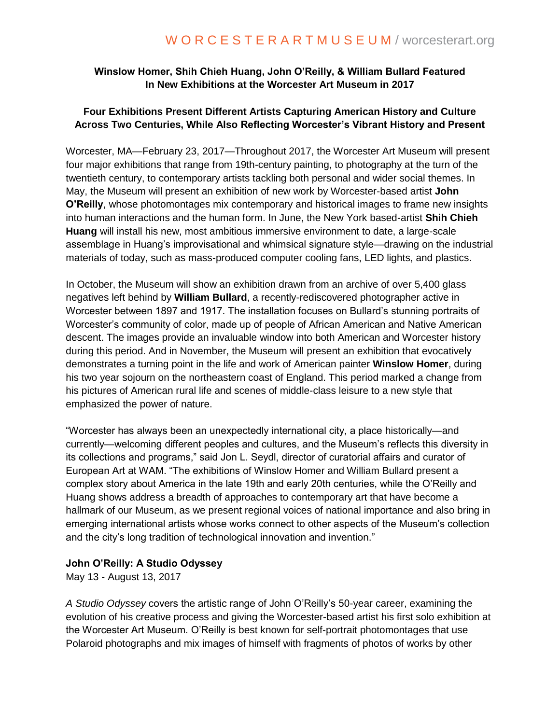# **Winslow Homer, Shih Chieh Huang, John O'Reilly, & William Bullard Featured In New Exhibitions at the Worcester Art Museum in 2017**

## **Four Exhibitions Present Different Artists Capturing American History and Culture Across Two Centuries, While Also Reflecting Worcester's Vibrant History and Present**

Worcester, MA—February 23, 2017—Throughout 2017, the Worcester Art Museum will present four major exhibitions that range from 19th-century painting, to photography at the turn of the twentieth century, to contemporary artists tackling both personal and wider social themes. In May, the Museum will present an exhibition of new work by Worcester-based artist **John O'Reilly**, whose photomontages mix contemporary and historical images to frame new insights into human interactions and the human form. In June, the New York based-artist **Shih Chieh Huang** will install his new, most ambitious immersive environment to date, a large-scale assemblage in Huang's improvisational and whimsical signature style—drawing on the industrial materials of today, such as mass-produced computer cooling fans, LED lights, and plastics.

In October, the Museum will show an exhibition drawn from an archive of over 5,400 glass negatives left behind by **William Bullard**, a recently-rediscovered photographer active in Worcester between 1897 and 1917. The installation focuses on Bullard's stunning portraits of Worcester's community of color, made up of people of African American and Native American descent. The images provide an invaluable window into both American and Worcester history during this period. And in November, the Museum will present an exhibition that evocatively demonstrates a turning point in the life and work of American painter **Winslow Homer**, during his two year sojourn on the northeastern coast of England. This period marked a change from his pictures of American rural life and scenes of middle-class leisure to a new style that emphasized the power of nature.

"Worcester has always been an unexpectedly international city, a place historically—and currently—welcoming different peoples and cultures, and the Museum's reflects this diversity in its collections and programs," said Jon L. Seydl, director of curatorial affairs and curator of European Art at WAM. "The exhibitions of Winslow Homer and William Bullard present a complex story about America in the late 19th and early 20th centuries, while the O'Reilly and Huang shows address a breadth of approaches to contemporary art that have become a hallmark of our Museum, as we present regional voices of national importance and also bring in emerging international artists whose works connect to other aspects of the Museum's collection and the city's long tradition of technological innovation and invention."

# **John O'Reilly: A Studio Odyssey**

May 13 - August 13, 2017

*A Studio Odyssey* covers the artistic range of John O'Reilly's 50-year career, examining the evolution of his creative process and giving the Worcester-based artist his first solo exhibition at the Worcester Art Museum. O'Reilly is best known for self-portrait photomontages that use Polaroid photographs and mix images of himself with fragments of photos of works by other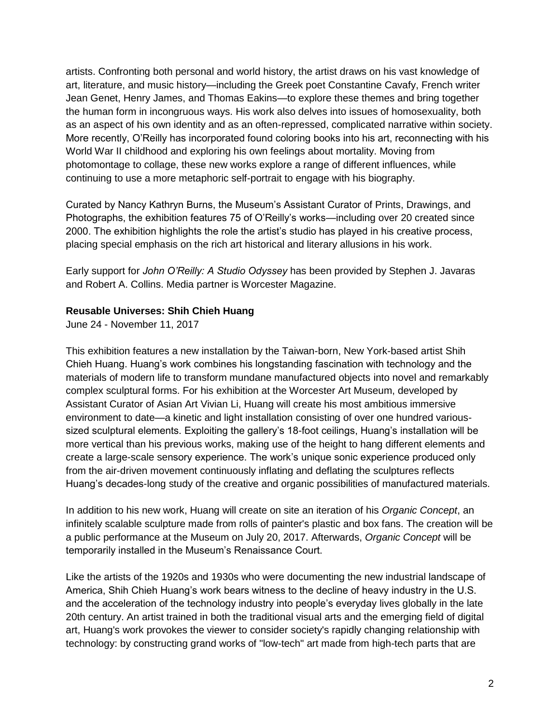artists. Confronting both personal and world history, the artist draws on his vast knowledge of art, literature, and music history—including the Greek poet Constantine Cavafy, French writer Jean Genet, Henry James, and Thomas Eakins—to explore these themes and bring together the human form in incongruous ways. His work also delves into issues of homosexuality, both as an aspect of his own identity and as an often-repressed, complicated narrative within society. More recently, O'Reilly has incorporated found coloring books into his art, reconnecting with his World War II childhood and exploring his own feelings about mortality. Moving from photomontage to collage, these new works explore a range of different influences, while continuing to use a more metaphoric self-portrait to engage with his biography.

Curated by Nancy Kathryn Burns, the Museum's Assistant Curator of Prints, Drawings, and Photographs, the exhibition features 75 of O'Reilly's works—including over 20 created since 2000. The exhibition highlights the role the artist's studio has played in his creative process, placing special emphasis on the rich art historical and literary allusions in his work.

Early support for *John O'Reilly: A Studio Odyssey* has been provided by Stephen J. Javaras and Robert A. Collins. Media partner is Worcester Magazine.

#### **Reusable Universes: Shih Chieh Huang**

June 24 - November 11, 2017

This exhibition features a new installation by the Taiwan-born, New York-based artist Shih Chieh Huang. Huang's work combines his longstanding fascination with technology and the materials of modern life to transform mundane manufactured objects into novel and remarkably complex sculptural forms. For his exhibition at the Worcester Art Museum, developed by Assistant Curator of Asian Art Vivian Li, Huang will create his most ambitious immersive environment to date—a kinetic and light installation consisting of over one hundred varioussized sculptural elements. Exploiting the gallery's 18-foot ceilings, Huang's installation will be more vertical than his previous works, making use of the height to hang different elements and create a large-scale sensory experience. The work's unique sonic experience produced only from the air-driven movement continuously inflating and deflating the sculptures reflects Huang's decades-long study of the creative and organic possibilities of manufactured materials.

In addition to his new work, Huang will create on site an iteration of his *Organic Concept*, an infinitely scalable sculpture made from rolls of painter's plastic and box fans. The creation will be a public performance at the Museum on July 20, 2017. Afterwards, *Organic Concept* will be temporarily installed in the Museum's Renaissance Court.

Like the artists of the 1920s and 1930s who were documenting the new industrial landscape of America, Shih Chieh Huang's work bears witness to the decline of heavy industry in the U.S. and the acceleration of the technology industry into people's everyday lives globally in the late 20th century. An artist trained in both the traditional visual arts and the emerging field of digital art, Huang's work provokes the viewer to consider society's rapidly changing relationship with technology: by constructing grand works of "low-tech" art made from high-tech parts that are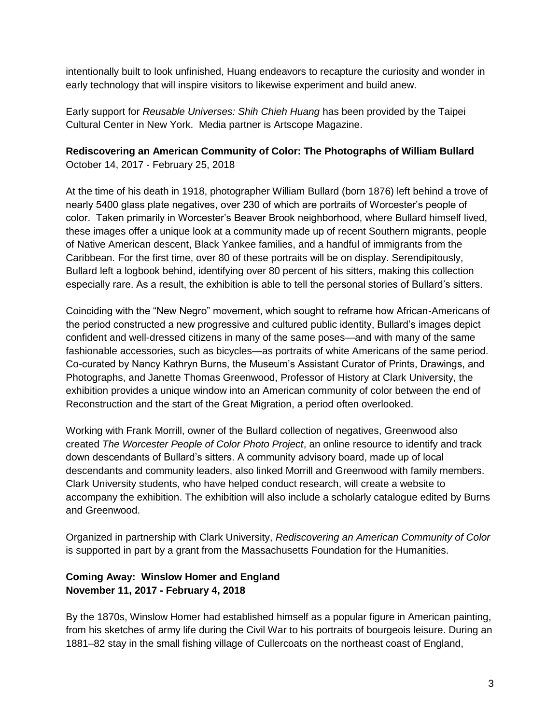intentionally built to look unfinished, Huang endeavors to recapture the curiosity and wonder in early technology that will inspire visitors to likewise experiment and build anew.

Early support for *Reusable Universes: Shih Chieh Huang* has been provided by the Taipei Cultural Center in New York. Media partner is Artscope Magazine.

### **Rediscovering an American Community of Color: The Photographs of William Bullard** October 14, 2017 - February 25, 2018

At the time of his death in 1918, photographer William Bullard (born 1876) left behind a trove of nearly 5400 glass plate negatives, over 230 of which are portraits of Worcester's people of color. Taken primarily in Worcester's Beaver Brook neighborhood, where Bullard himself lived, these images offer a unique look at a community made up of recent Southern migrants, people of Native American descent, Black Yankee families, and a handful of immigrants from the Caribbean. For the first time, over 80 of these portraits will be on display. Serendipitously, Bullard left a logbook behind, identifying over 80 percent of his sitters, making this collection especially rare. As a result, the exhibition is able to tell the personal stories of Bullard's sitters.

Coinciding with the "New Negro" movement, which sought to reframe how African-Americans of the period constructed a new progressive and cultured public identity, Bullard's images depict confident and well-dressed citizens in many of the same poses—and with many of the same fashionable accessories, such as bicycles—as portraits of white Americans of the same period. Co-curated by Nancy Kathryn Burns, the Museum's Assistant Curator of Prints, Drawings, and Photographs, and Janette Thomas Greenwood, Professor of History at Clark University, the exhibition provides a unique window into an American community of color between the end of Reconstruction and the start of the Great Migration, a period often overlooked.

Working with Frank Morrill, owner of the Bullard collection of negatives, Greenwood also created *The Worcester People of Color Photo Project*, an online resource to identify and track down descendants of Bullard's sitters. A community advisory board, made up of local descendants and community leaders, also linked Morrill and Greenwood with family members. Clark University students, who have helped conduct research, will create a website to accompany the exhibition. The exhibition will also include a scholarly catalogue edited by Burns and Greenwood.

Organized in partnership with Clark University, *Rediscovering an American Community of Color* is supported in part by a grant from the Massachusetts Foundation for the Humanities.

## **Coming Away: Winslow Homer and England November 11, 2017 - February 4, 2018**

By the 1870s, Winslow Homer had established himself as a popular figure in American painting, from his sketches of army life during the Civil War to his portraits of bourgeois leisure. During an 1881–82 stay in the small fishing village of Cullercoats on the northeast coast of England,